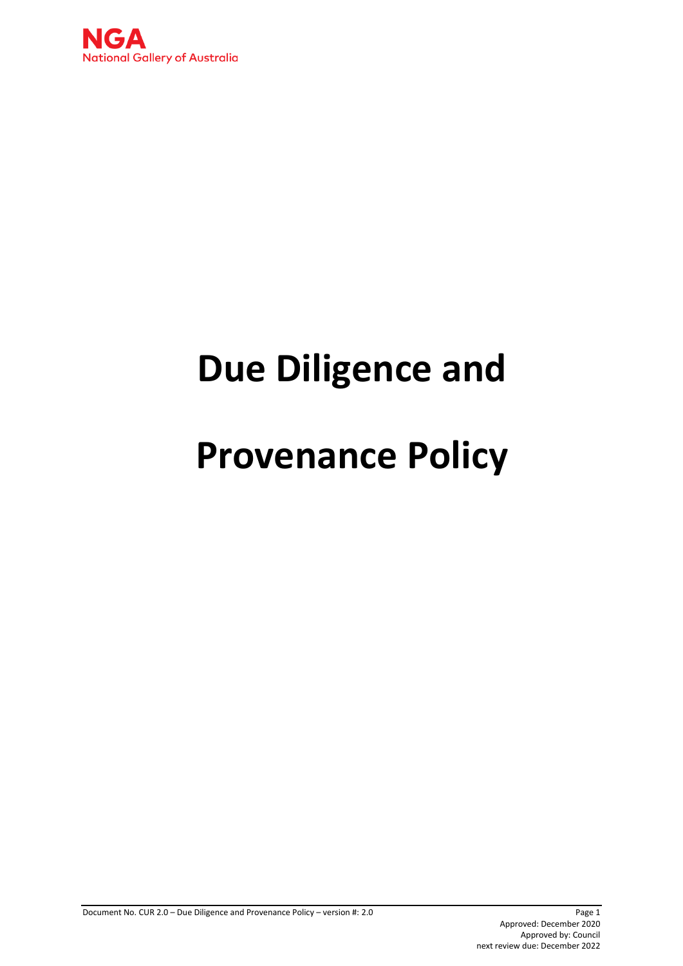

# **Due Diligence and**

# **Provenance Policy**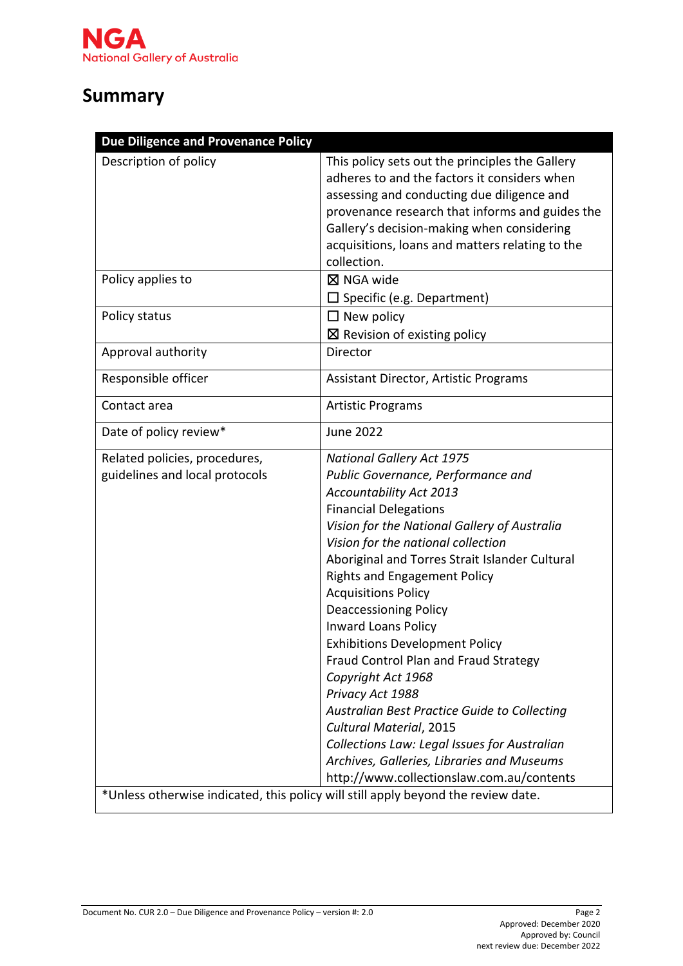# **Summary**

| Due Diligence and Provenance Policy                             |                                                                                                                                                                                                                                                                                                                                                                                                                                                                                                                                                                                                                                                                                                                                                                                                                                                            |
|-----------------------------------------------------------------|------------------------------------------------------------------------------------------------------------------------------------------------------------------------------------------------------------------------------------------------------------------------------------------------------------------------------------------------------------------------------------------------------------------------------------------------------------------------------------------------------------------------------------------------------------------------------------------------------------------------------------------------------------------------------------------------------------------------------------------------------------------------------------------------------------------------------------------------------------|
| Description of policy                                           | This policy sets out the principles the Gallery<br>adheres to and the factors it considers when<br>assessing and conducting due diligence and<br>provenance research that informs and guides the<br>Gallery's decision-making when considering<br>acquisitions, loans and matters relating to the<br>collection.                                                                                                                                                                                                                                                                                                                                                                                                                                                                                                                                           |
| Policy applies to                                               | $\boxtimes$ NGA wide<br>$\square$ Specific (e.g. Department)                                                                                                                                                                                                                                                                                                                                                                                                                                                                                                                                                                                                                                                                                                                                                                                               |
| Policy status                                                   | $\Box$ New policy<br>$\boxtimes$ Revision of existing policy                                                                                                                                                                                                                                                                                                                                                                                                                                                                                                                                                                                                                                                                                                                                                                                               |
| Approval authority                                              | Director                                                                                                                                                                                                                                                                                                                                                                                                                                                                                                                                                                                                                                                                                                                                                                                                                                                   |
| Responsible officer                                             | Assistant Director, Artistic Programs                                                                                                                                                                                                                                                                                                                                                                                                                                                                                                                                                                                                                                                                                                                                                                                                                      |
| Contact area                                                    | <b>Artistic Programs</b>                                                                                                                                                                                                                                                                                                                                                                                                                                                                                                                                                                                                                                                                                                                                                                                                                                   |
| Date of policy review*                                          | <b>June 2022</b>                                                                                                                                                                                                                                                                                                                                                                                                                                                                                                                                                                                                                                                                                                                                                                                                                                           |
| Related policies, procedures,<br>guidelines and local protocols | <b>National Gallery Act 1975</b><br>Public Governance, Performance and<br><b>Accountability Act 2013</b><br><b>Financial Delegations</b><br>Vision for the National Gallery of Australia<br>Vision for the national collection<br>Aboriginal and Torres Strait Islander Cultural<br><b>Rights and Engagement Policy</b><br><b>Acquisitions Policy</b><br><b>Deaccessioning Policy</b><br><b>Inward Loans Policy</b><br><b>Exhibitions Development Policy</b><br>Fraud Control Plan and Fraud Strategy<br>Copyright Act 1968<br>Privacy Act 1988<br>Australian Best Practice Guide to Collecting<br>Cultural Material, 2015<br>Collections Law: Legal Issues for Australian<br>Archives, Galleries, Libraries and Museums<br>http://www.collectionslaw.com.au/contents<br>*Unless otherwise indicated, this policy will still apply beyond the review date. |
|                                                                 |                                                                                                                                                                                                                                                                                                                                                                                                                                                                                                                                                                                                                                                                                                                                                                                                                                                            |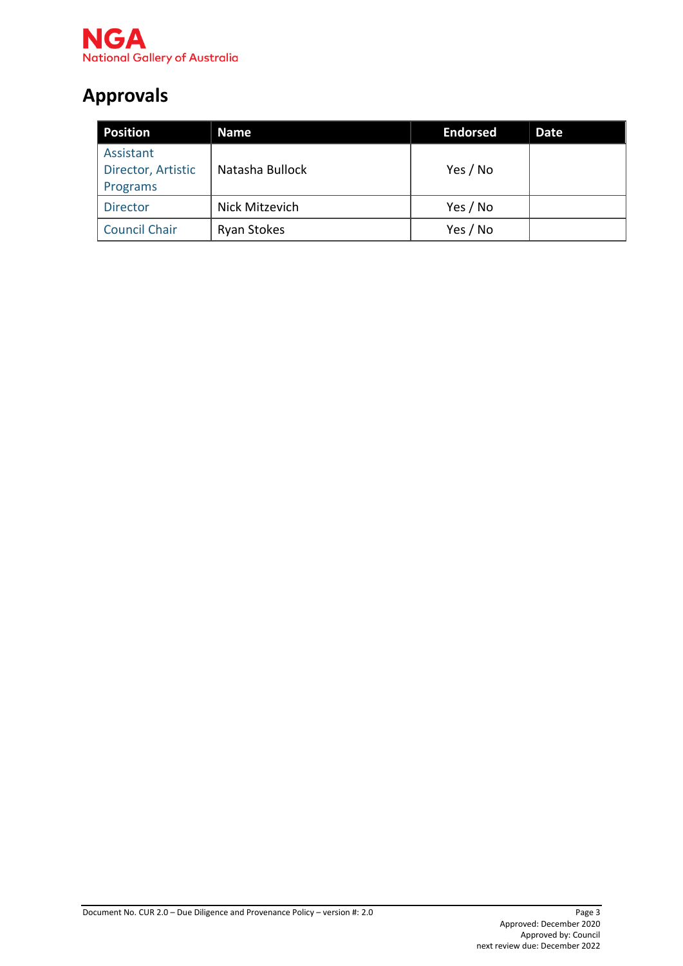

# **Approvals**

| <b>Position</b>                             | Name               | <b>Endorsed</b> | Date |
|---------------------------------------------|--------------------|-----------------|------|
| Assistant<br>Director, Artistic<br>Programs | Natasha Bullock    | Yes / No        |      |
| <b>Director</b>                             | Nick Mitzevich     | Yes / No        |      |
| <b>Council Chair</b>                        | <b>Ryan Stokes</b> | Yes / No        |      |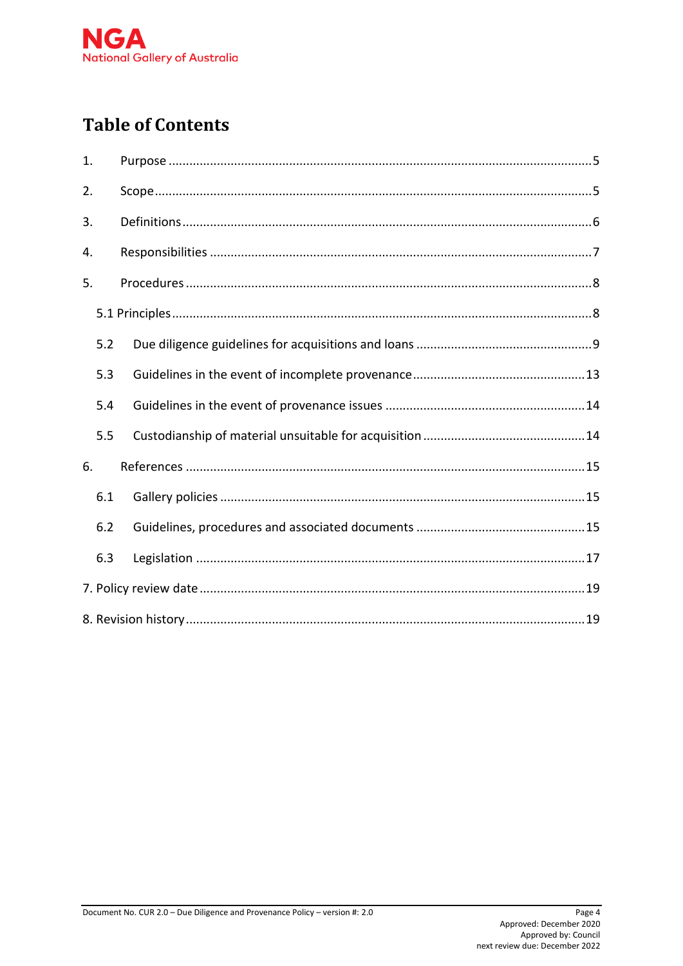

# **Table of Contents**

| 1.  |  |
|-----|--|
| 2.  |  |
| 3.  |  |
| 4.  |  |
| 5.  |  |
|     |  |
| 5.2 |  |
| 5.3 |  |
| 5.4 |  |
| 5.5 |  |
| 6.  |  |
| 6.1 |  |
| 6.2 |  |
| 6.3 |  |
|     |  |
|     |  |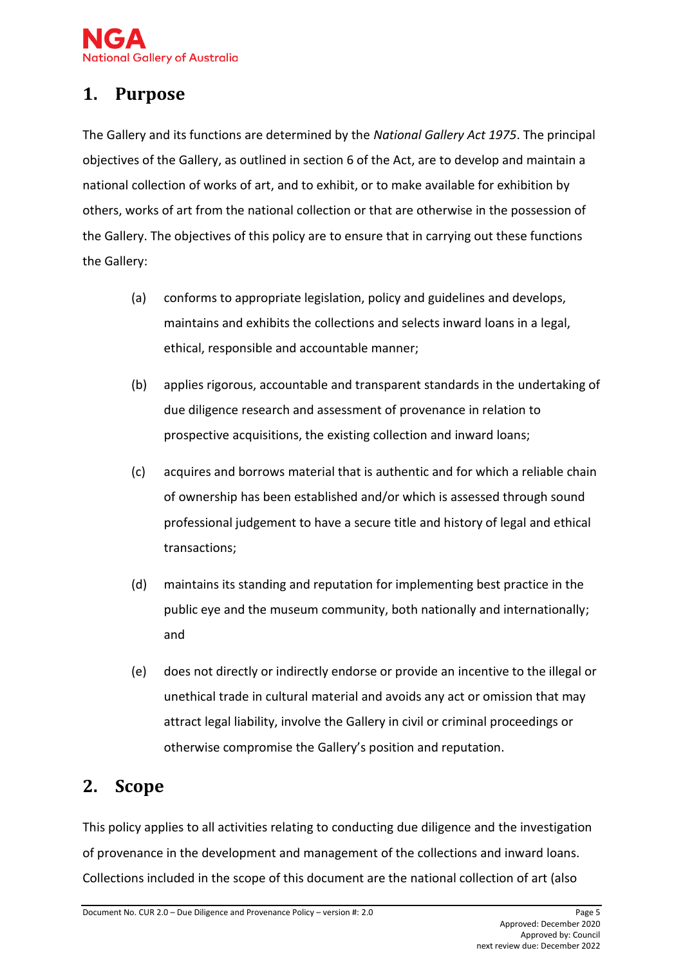# <span id="page-4-0"></span>**1. Purpose**

The Gallery and its functions are determined by the *National Gallery Act 1975*. The principal objectives of the Gallery, as outlined in section 6 of the Act, are to develop and maintain a national collection of works of art, and to exhibit, or to make available for exhibition by others, works of art from the national collection or that are otherwise in the possession of the Gallery. The objectives of this policy are to ensure that in carrying out these functions the Gallery:

- (a) conforms to appropriate legislation, policy and guidelines and develops, maintains and exhibits the collections and selects inward loans in a legal, ethical, responsible and accountable manner;
- (b) applies rigorous, accountable and transparent standards in the undertaking of due diligence research and assessment of provenance in relation to prospective acquisitions, the existing collection and inward loans;
- (c) acquires and borrows material that is authentic and for which a reliable chain of ownership has been established and/or which is assessed through sound professional judgement to have a secure title and history of legal and ethical transactions;
- (d) maintains its standing and reputation for implementing best practice in the public eye and the museum community, both nationally and internationally; and
- (e) does not directly or indirectly endorse or provide an incentive to the illegal or unethical trade in cultural material and avoids any act or omission that may attract legal liability, involve the Gallery in civil or criminal proceedings or otherwise compromise the Gallery's position and reputation.

# <span id="page-4-1"></span>**2. Scope**

This policy applies to all activities relating to conducting due diligence and the investigation of provenance in the development and management of the collections and inward loans. Collections included in the scope of this document are the national collection of art (also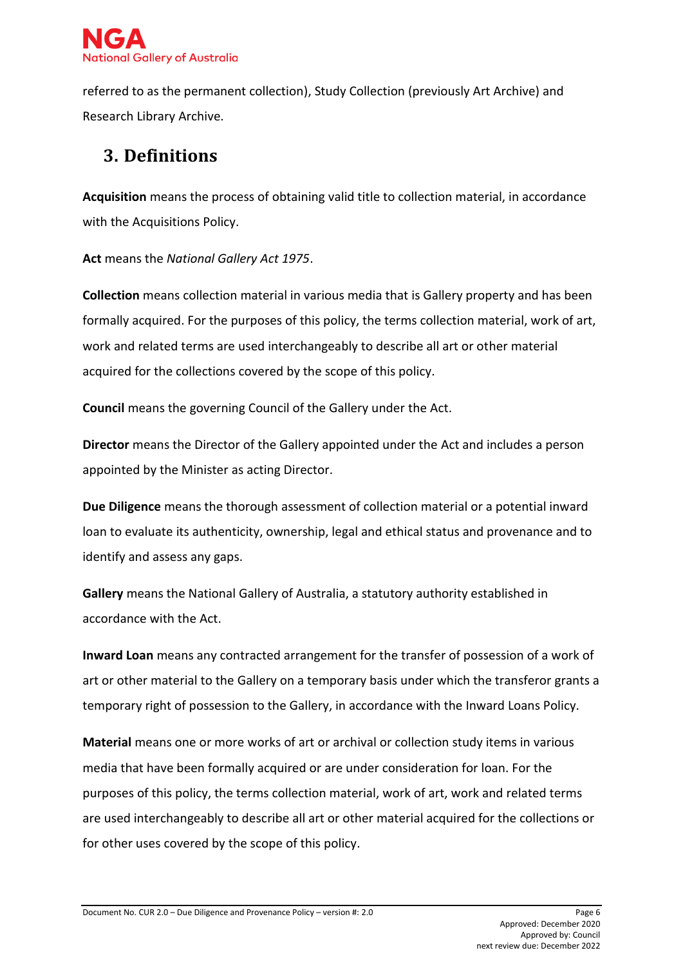

referred to as the permanent collection), Study Collection (previously Art Archive) and Research Library Archive.

# <span id="page-5-0"></span>**3. Definitions**

**Acquisition** means the process of obtaining valid title to collection material, in accordance with the Acquisitions Policy.

**Act** means the *National Gallery Act 1975*.

**Collection** means collection material in various media that is Gallery property and has been formally acquired. For the purposes of this policy, the terms collection material, work of art, work and related terms are used interchangeably to describe all art or other material acquired for the collections covered by the scope of this policy.

**Council** means the governing Council of the Gallery under the Act.

**Director** means the Director of the Gallery appointed under the Act and includes a person appointed by the Minister as acting Director.

**Due Diligence** means the thorough assessment of collection material or a potential inward loan to evaluate its authenticity, ownership, legal and ethical status and provenance and to identify and assess any gaps.

**Gallery** means the National Gallery of Australia, a statutory authority established in accordance with the Act.

**Inward Loan** means any contracted arrangement for the transfer of possession of a work of art or other material to the Gallery on a temporary basis under which the transferor grants a temporary right of possession to the Gallery, in accordance with the Inward Loans Policy.

**Material** means one or more works of art or archival or collection study items in various media that have been formally acquired or are under consideration for loan. For the purposes of this policy, the terms collection material, work of art, work and related terms are used interchangeably to describe all art or other material acquired for the collections or for other uses covered by the scope of this policy.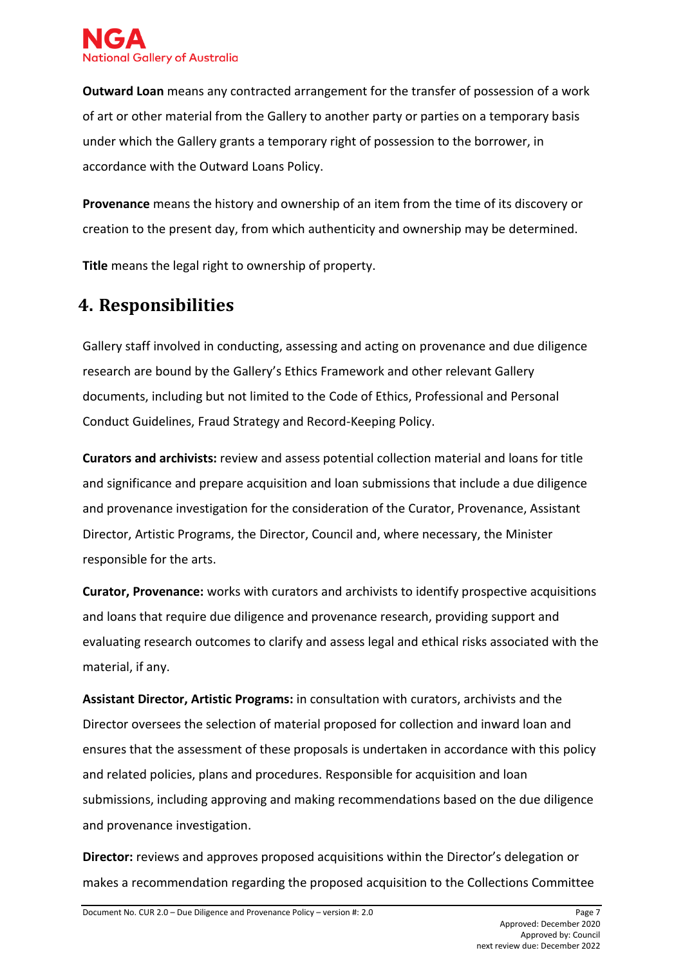

**Outward Loan** means any contracted arrangement for the transfer of possession of a work of art or other material from the Gallery to another party or parties on a temporary basis under which the Gallery grants a temporary right of possession to the borrower, in accordance with the Outward Loans Policy.

**Provenance** means the history and ownership of an item from the time of its discovery or creation to the present day, from which authenticity and ownership may be determined.

**Title** means the legal right to ownership of property.

# <span id="page-6-0"></span>**4. Responsibilities**

Gallery staff involved in conducting, assessing and acting on provenance and due diligence research are bound by the Gallery's Ethics Framework and other relevant Gallery documents, including but not limited to the Code of Ethics, Professional and Personal Conduct Guidelines, Fraud Strategy and Record-Keeping Policy.

**Curators and archivists:** review and assess potential collection material and loans for title and significance and prepare acquisition and loan submissions that include a due diligence and provenance investigation for the consideration of the Curator, Provenance, Assistant Director, Artistic Programs, the Director, Council and, where necessary, the Minister responsible for the arts.

**Curator, Provenance:** works with curators and archivists to identify prospective acquisitions and loans that require due diligence and provenance research, providing support and evaluating research outcomes to clarify and assess legal and ethical risks associated with the material, if any.

**Assistant Director, Artistic Programs:** in consultation with curators, archivists and the Director oversees the selection of material proposed for collection and inward loan and ensures that the assessment of these proposals is undertaken in accordance with this policy and related policies, plans and procedures. Responsible for acquisition and loan submissions, including approving and making recommendations based on the due diligence and provenance investigation.

**Director:** reviews and approves proposed acquisitions within the Director's delegation or makes a recommendation regarding the proposed acquisition to the Collections Committee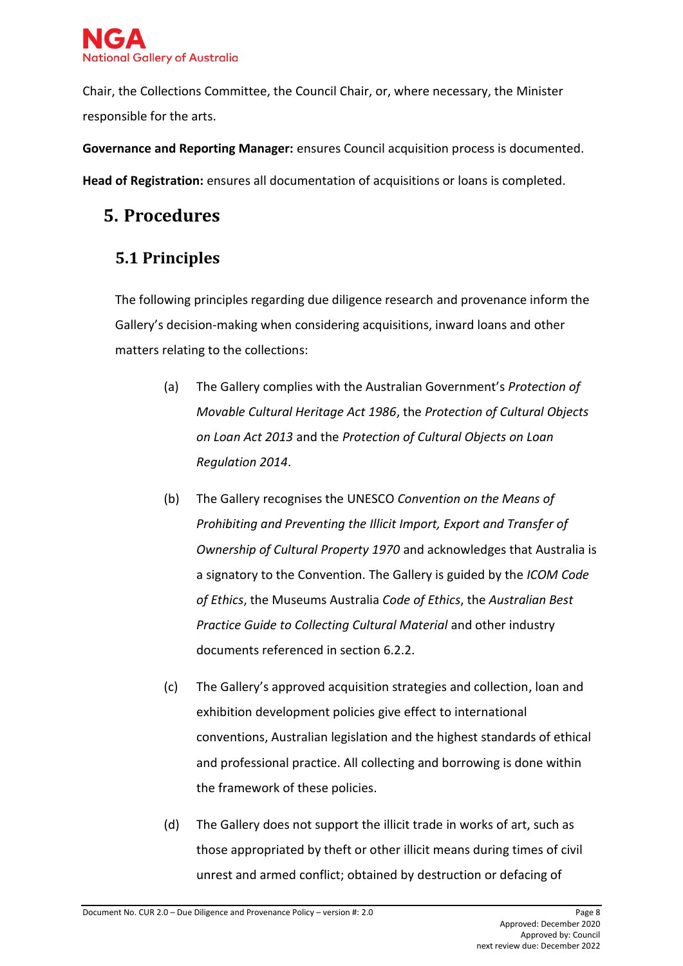

Chair, the Collections Committee, the Council Chair, or, where necessary, the Minister responsible for the arts.

**Governance and Reporting Manager:** ensures Council acquisition process is documented. **Head of Registration:** ensures all documentation of acquisitions or loans is completed.

# <span id="page-7-0"></span>**5. Procedures**

# <span id="page-7-1"></span>**5.1 Principles**

The following principles regarding due diligence research and provenance inform the Gallery's decision-making when considering acquisitions, inward loans and other matters relating to the collections:

- (a) The Gallery complies with the Australian Government's *Protection of Movable Cultural Heritage Act 1986*, the *Protection of Cultural Objects on Loan Act 2013* and the *Protection of Cultural Objects on Loan Regulation 2014*.
- (b) The Gallery recognises the UNESCO *Convention on the Means of Prohibiting and Preventing the Illicit Import, Export and Transfer of Ownership of Cultural Property 1970* and acknowledges that Australia is a signatory to the Convention. The Gallery is guided by the *ICOM Code of Ethics*, the Museums Australia *Code of Ethics*, the *Australian Best Practice Guide to Collecting Cultural Material* and other industry documents referenced in section 6.2.2.
- (c) The Gallery's approved acquisition strategies and collection, loan and exhibition development policies give effect to international conventions, Australian legislation and the highest standards of ethical and professional practice. All collecting and borrowing is done within the framework of these policies.
- (d) The Gallery does not support the illicit trade in works of art, such as those appropriated by theft or other illicit means during times of civil unrest and armed conflict; obtained by destruction or defacing of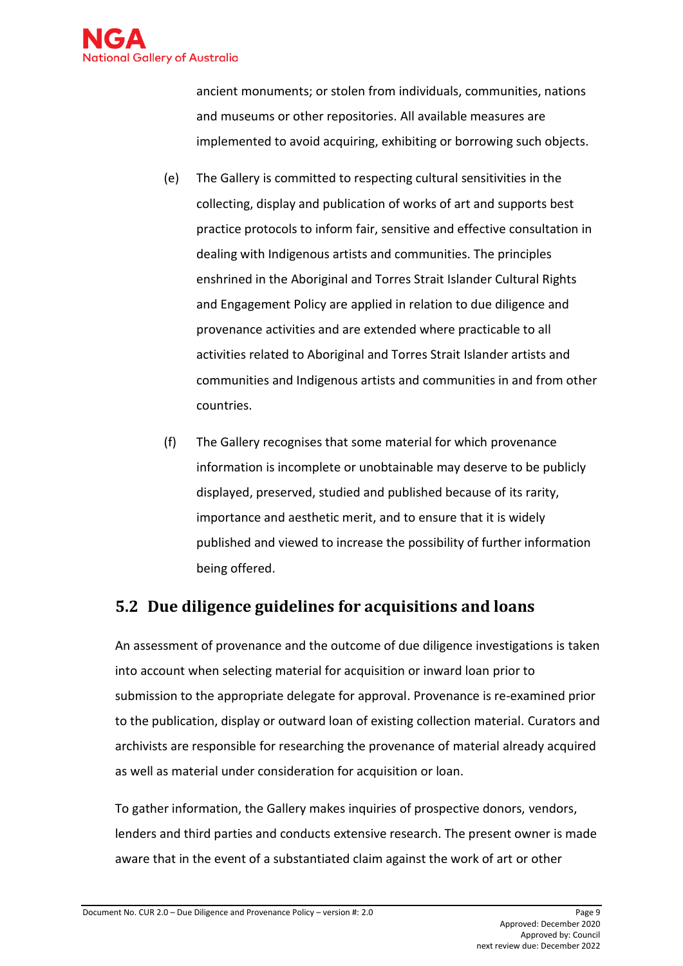

ancient monuments; or stolen from individuals, communities, nations and museums or other repositories. All available measures are implemented to avoid acquiring, exhibiting or borrowing such objects.

- (e) The Gallery is committed to respecting cultural sensitivities in the collecting, display and publication of works of art and supports best practice protocols to inform fair, sensitive and effective consultation in dealing with Indigenous artists and communities. The principles enshrined in the Aboriginal and Torres Strait Islander Cultural Rights and Engagement Policy are applied in relation to due diligence and provenance activities and are extended where practicable to all activities related to Aboriginal and Torres Strait Islander artists and communities and Indigenous artists and communities in and from other countries.
- (f) The Gallery recognises that some material for which provenance information is incomplete or unobtainable may deserve to be publicly displayed, preserved, studied and published because of its rarity, importance and aesthetic merit, and to ensure that it is widely published and viewed to increase the possibility of further information being offered.

### <span id="page-8-0"></span>**5.2 Due diligence guidelines for acquisitions and loans**

An assessment of provenance and the outcome of due diligence investigations is taken into account when selecting material for acquisition or inward loan prior to submission to the appropriate delegate for approval. Provenance is re-examined prior to the publication, display or outward loan of existing collection material. Curators and archivists are responsible for researching the provenance of material already acquired as well as material under consideration for acquisition or loan.

To gather information, the Gallery makes inquiries of prospective donors, vendors, lenders and third parties and conducts extensive research. The present owner is made aware that in the event of a substantiated claim against the work of art or other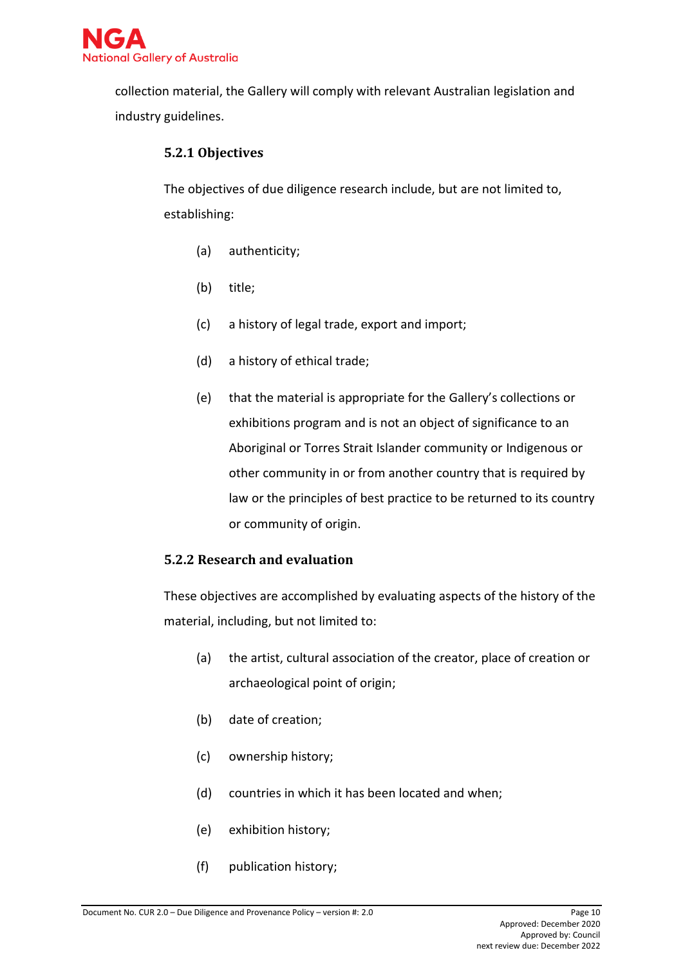

collection material, the Gallery will comply with relevant Australian legislation and industry guidelines.

#### **5.2.1 Objectives**

The objectives of due diligence research include, but are not limited to, establishing:

- (a) authenticity;
- (b) title;
- (c) a history of legal trade, export and import;
- (d) a history of ethical trade;
- (e) that the material is appropriate for the Gallery's collections or exhibitions program and is not an object of significance to an Aboriginal or Torres Strait Islander community or Indigenous or other community in or from another country that is required by law or the principles of best practice to be returned to its country or community of origin.

#### **5.2.2 Research and evaluation**

These objectives are accomplished by evaluating aspects of the history of the material, including, but not limited to:

- (a) the artist, cultural association of the creator, place of creation or archaeological point of origin;
- (b) date of creation;
- (c) ownership history;
- (d) countries in which it has been located and when;
- (e) exhibition history;
- (f) publication history;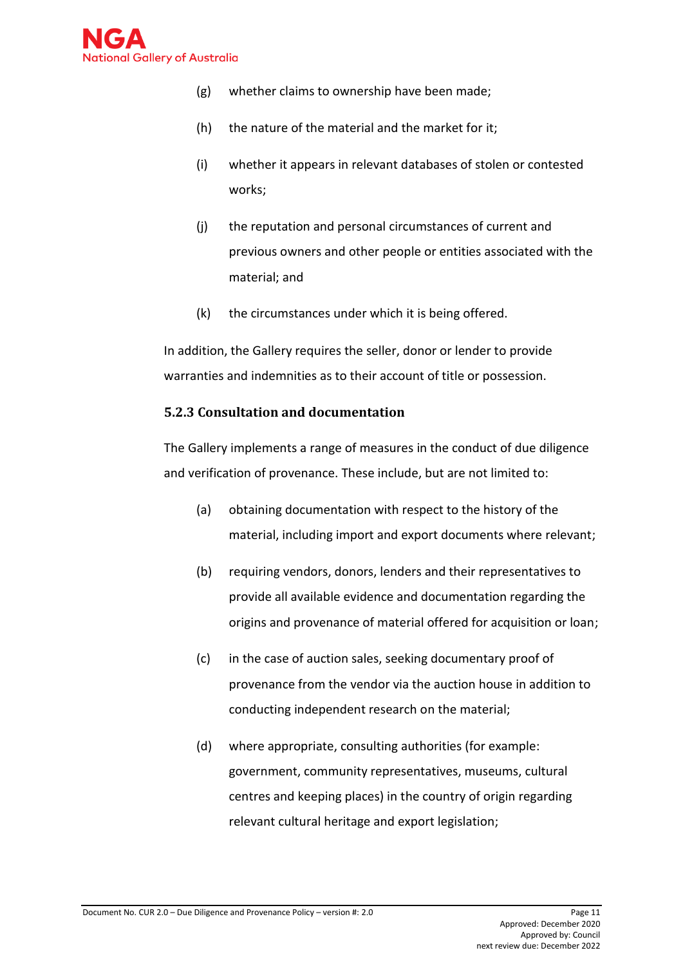

- (g) whether claims to ownership have been made;
- (h) the nature of the material and the market for it;
- (i) whether it appears in relevant databases of stolen or contested works;
- (j) the reputation and personal circumstances of current and previous owners and other people or entities associated with the material; and
- (k) the circumstances under which it is being offered.

In addition, the Gallery requires the seller, donor or lender to provide warranties and indemnities as to their account of title or possession.

#### **5.2.3 Consultation and documentation**

The Gallery implements a range of measures in the conduct of due diligence and verification of provenance. These include, but are not limited to:

- (a) obtaining documentation with respect to the history of the material, including import and export documents where relevant;
- (b) requiring vendors, donors, lenders and their representatives to provide all available evidence and documentation regarding the origins and provenance of material offered for acquisition or loan;
- (c) in the case of auction sales, seeking documentary proof of provenance from the vendor via the auction house in addition to conducting independent research on the material;
- (d) where appropriate, consulting authorities (for example: government, community representatives, museums, cultural centres and keeping places) in the country of origin regarding relevant cultural heritage and export legislation;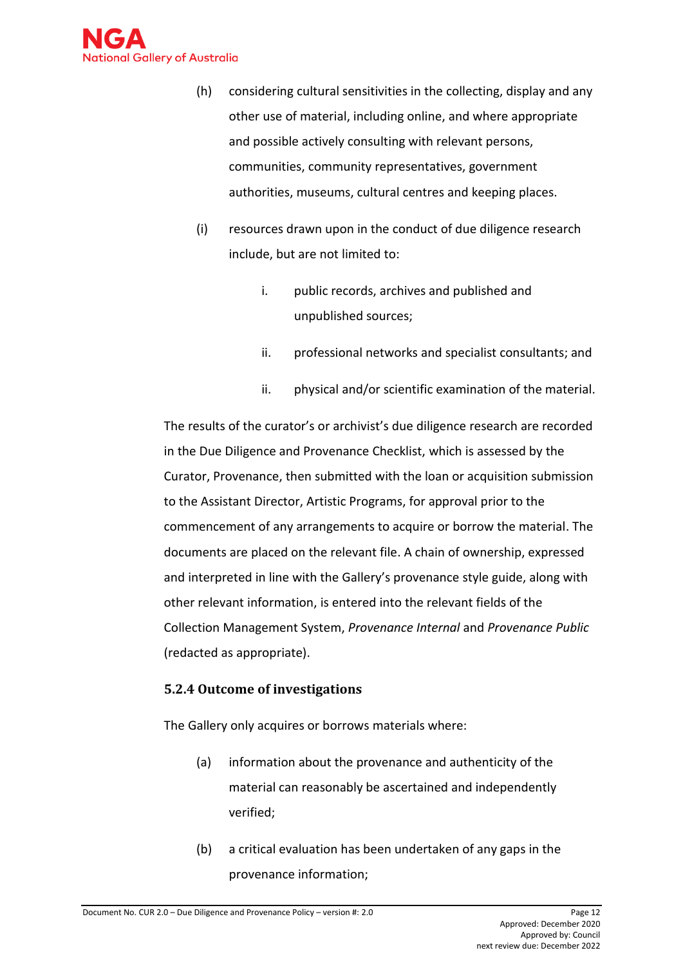

- (h) considering cultural sensitivities in the collecting, display and any other use of material, including online, and where appropriate and possible actively consulting with relevant persons, communities, community representatives, government authorities, museums, cultural centres and keeping places.
- (i) resources drawn upon in the conduct of due diligence research include, but are not limited to:
	- i. public records, archives and published and unpublished sources;
	- ii. professional networks and specialist consultants; and
	- ii. physical and/or scientific examination of the material.

The results of the curator's or archivist's due diligence research are recorded in the Due Diligence and Provenance Checklist, which is assessed by the Curator, Provenance, then submitted with the loan or acquisition submission to the Assistant Director, Artistic Programs, for approval prior to the commencement of any arrangements to acquire or borrow the material. The documents are placed on the relevant file. A chain of ownership, expressed and interpreted in line with the Gallery's provenance style guide, along with other relevant information, is entered into the relevant fields of the Collection Management System, *Provenance Internal* and *Provenance Public*  (redacted as appropriate).

#### **5.2.4 Outcome of investigations**

The Gallery only acquires or borrows materials where:

- (a) information about the provenance and authenticity of the material can reasonably be ascertained and independently verified;
- (b) a critical evaluation has been undertaken of any gaps in the provenance information;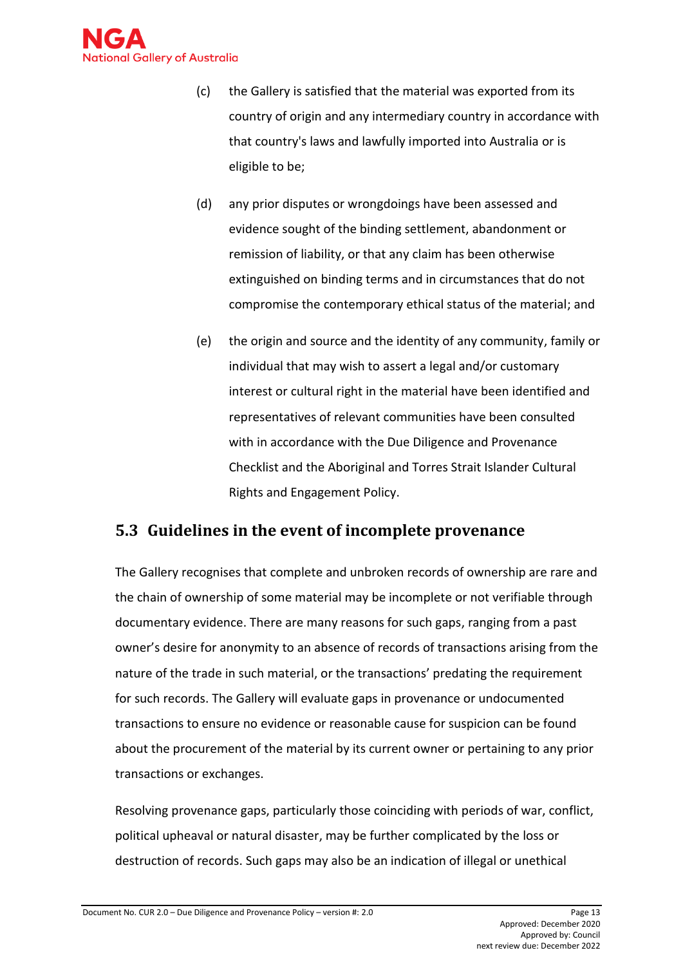

- (c) the Gallery is satisfied that the material was exported from its country of origin and any intermediary country in accordance with that country's laws and lawfully imported into Australia or is eligible to be;
- (d) any prior disputes or wrongdoings have been assessed and evidence sought of the binding settlement, abandonment or remission of liability, or that any claim has been otherwise extinguished on binding terms and in circumstances that do not compromise the contemporary ethical status of the material; and
- (e) the origin and source and the identity of any community, family or individual that may wish to assert a legal and/or customary interest or cultural right in the material have been identified and representatives of relevant communities have been consulted with in accordance with the Due Diligence and Provenance Checklist and the Aboriginal and Torres Strait Islander Cultural Rights and Engagement Policy.

# <span id="page-12-0"></span>**5.3 Guidelines in the event of incomplete provenance**

The Gallery recognises that complete and unbroken records of ownership are rare and the chain of ownership of some material may be incomplete or not verifiable through documentary evidence. There are many reasons for such gaps, ranging from a past owner's desire for anonymity to an absence of records of transactions arising from the nature of the trade in such material, or the transactions' predating the requirement for such records. The Gallery will evaluate gaps in provenance or undocumented transactions to ensure no evidence or reasonable cause for suspicion can be found about the procurement of the material by its current owner or pertaining to any prior transactions or exchanges.

Resolving provenance gaps, particularly those coinciding with periods of war, conflict, political upheaval or natural disaster, may be further complicated by the loss or destruction of records. Such gaps may also be an indication of illegal or unethical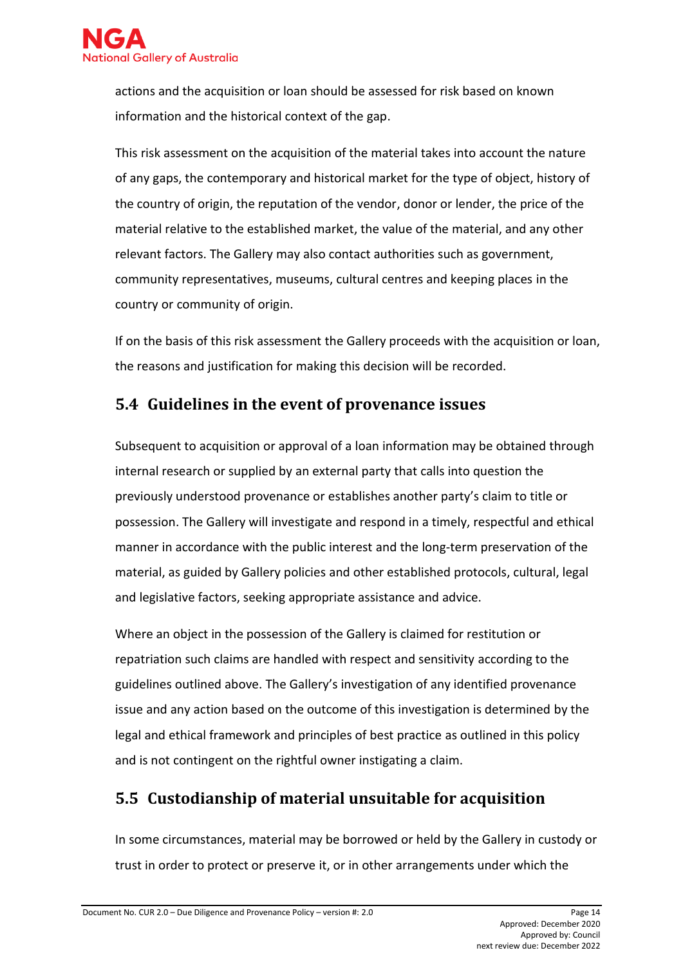

actions and the acquisition or loan should be assessed for risk based on known information and the historical context of the gap.

This risk assessment on the acquisition of the material takes into account the nature of any gaps, the contemporary and historical market for the type of object, history of the country of origin, the reputation of the vendor, donor or lender, the price of the material relative to the established market, the value of the material, and any other relevant factors. The Gallery may also contact authorities such as government, community representatives, museums, cultural centres and keeping places in the country or community of origin.

If on the basis of this risk assessment the Gallery proceeds with the acquisition or loan, the reasons and justification for making this decision will be recorded.

### <span id="page-13-0"></span>**5.4 Guidelines in the event of provenance issues**

Subsequent to acquisition or approval of a loan information may be obtained through internal research or supplied by an external party that calls into question the previously understood provenance or establishes another party's claim to title or possession. The Gallery will investigate and respond in a timely, respectful and ethical manner in accordance with the public interest and the long-term preservation of the material, as guided by Gallery policies and other established protocols, cultural, legal and legislative factors, seeking appropriate assistance and advice.

Where an object in the possession of the Gallery is claimed for restitution or repatriation such claims are handled with respect and sensitivity according to the guidelines outlined above. The Gallery's investigation of any identified provenance issue and any action based on the outcome of this investigation is determined by the legal and ethical framework and principles of best practice as outlined in this policy and is not contingent on the rightful owner instigating a claim.

# <span id="page-13-1"></span>**5.5 Custodianship of material unsuitable for acquisition**

In some circumstances, material may be borrowed or held by the Gallery in custody or trust in order to protect or preserve it, or in other arrangements under which the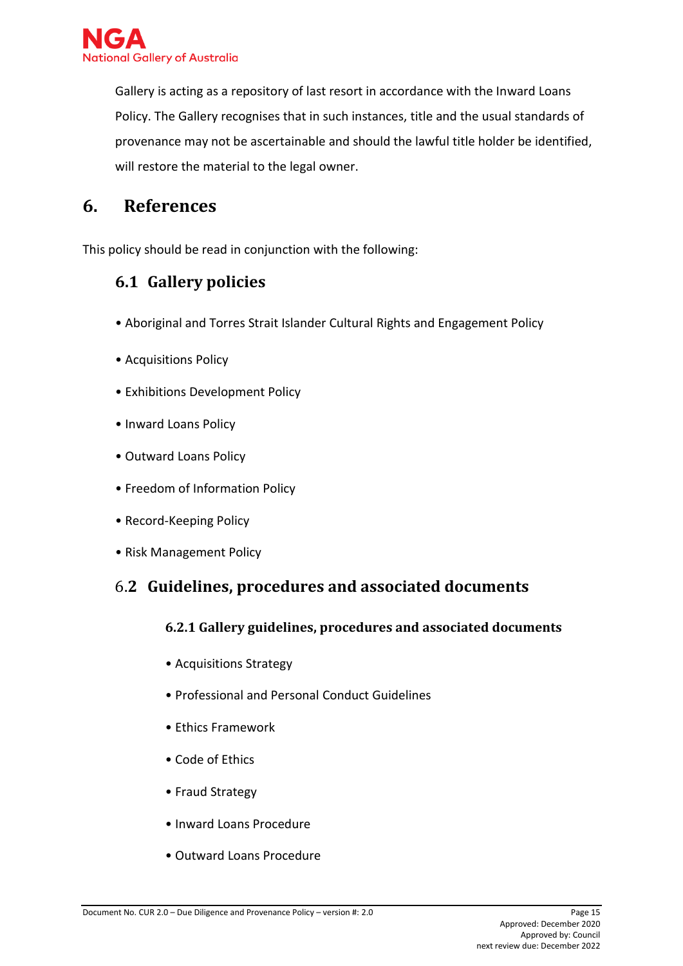

Gallery is acting as a repository of last resort in accordance with the Inward Loans Policy. The Gallery recognises that in such instances, title and the usual standards of provenance may not be ascertainable and should the lawful title holder be identified, will restore the material to the legal owner.

# <span id="page-14-0"></span>**6. References**

<span id="page-14-1"></span>This policy should be read in conjunction with the following:

# **6.1 Gallery policies**

- Aboriginal and Torres Strait Islander Cultural Rights and Engagement Policy
- Acquisitions Policy
- Exhibitions Development Policy
- Inward Loans Policy
- Outward Loans Policy
- Freedom of Information Policy
- Record-Keeping Policy
- Risk Management Policy

### <span id="page-14-2"></span>6.**2 Guidelines, procedures and associated documents**

#### **6.2.1 Gallery guidelines, procedures and associated documents**

- Acquisitions Strategy
- Professional and Personal Conduct Guidelines
- Ethics Framework
- Code of Ethics
- Fraud Strategy
- Inward Loans Procedure
- Outward Loans Procedure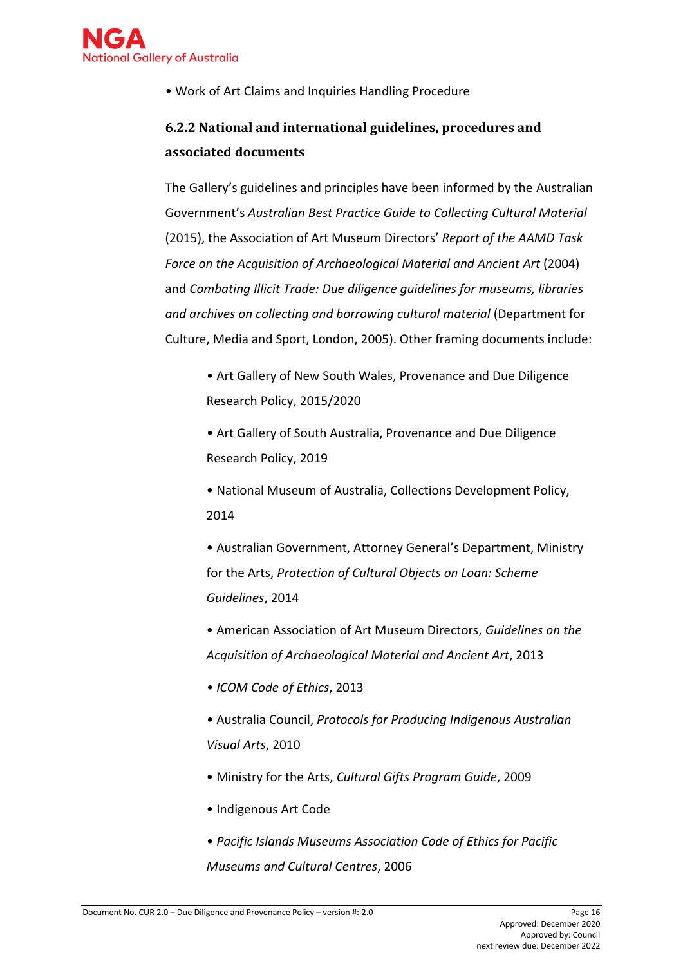

• Work of Art Claims and Inquiries Handling Procedure

# **6.2.2 National and international guidelines, procedures and associated documents**

The Gallery's guidelines and principles have been informed by the Australian Government's *Australian Best Practice Guide to Collecting Cultural Material*  (2015), the Association of Art Museum Directors' *Report of the AAMD Task Force on the Acquisition of Archaeological Material and Ancient Art* (2004) and *Combating Illicit Trade: Due diligence guidelines for museums, libraries and archives on collecting and borrowing cultural material* (Department for Culture, Media and Sport, London, 2005). Other framing documents include:

*•* Art Gallery of New South Wales, Provenance and Due Diligence Research Policy, 2015/2020

*•* Art Gallery of South Australia, Provenance and Due Diligence Research Policy, 2019

• National Museum of Australia, Collections Development Policy, 2014

• Australian Government, Attorney General's Department, Ministry for the Arts, *Protection of Cultural Objects on Loan: Scheme Guidelines*, 2014

• American Association of Art Museum Directors, *Guidelines on the Acquisition of Archaeological Material and Ancient Art*, 2013

*• ICOM Code of Ethics*, 2013

*•* Australia Council, *Protocols for Producing Indigenous Australian Visual Arts*, 2010

- Ministry for the Arts, *Cultural Gifts Program Guide*, 2009
- Indigenous Art Code
- *Pacific Islands Museums Association Code of Ethics for Pacific Museums and Cultural Centres*, 2006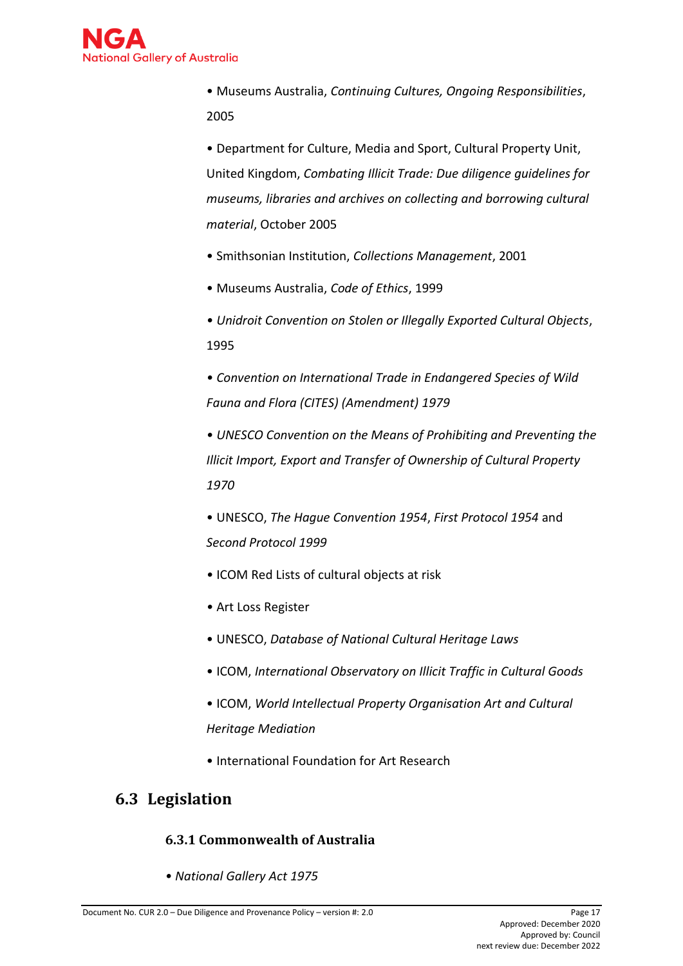

• Museums Australia, *Continuing Cultures, Ongoing Responsibilities*, 2005

• Department for Culture, Media and Sport, Cultural Property Unit, United Kingdom, *Combating Illicit Trade: Due diligence guidelines for museums, libraries and archives on collecting and borrowing cultural material*, October 2005

- Smithsonian Institution, *Collections Management*, 2001
- Museums Australia, *Code of Ethics*, 1999
- *Unidroit Convention on Stolen or Illegally Exported Cultural Objects*, 1995

*• Convention on International Trade in Endangered Species of Wild Fauna and Flora (CITES) (Amendment) 1979* 

*• UNESCO Convention on the Means of Prohibiting and Preventing the Illicit Import, Export and Transfer of Ownership of Cultural Property 1970* 

• UNESCO, *The Hague Convention 1954*, *First Protocol 1954* and *Second Protocol 1999* 

- ICOM Red Lists of cultural objects at risk
- Art Loss Register
- UNESCO, *Database of National Cultural Heritage Laws*
- ICOM, *International Observatory on Illicit Traffic in Cultural Goods*
- ICOM, *World Intellectual Property Organisation Art and Cultural Heritage Mediation*
- International Foundation for Art Research

# <span id="page-16-0"></span>**6.3 Legislation**

#### **6.3.1 Commonwealth of Australia**

*• National Gallery Act 1975*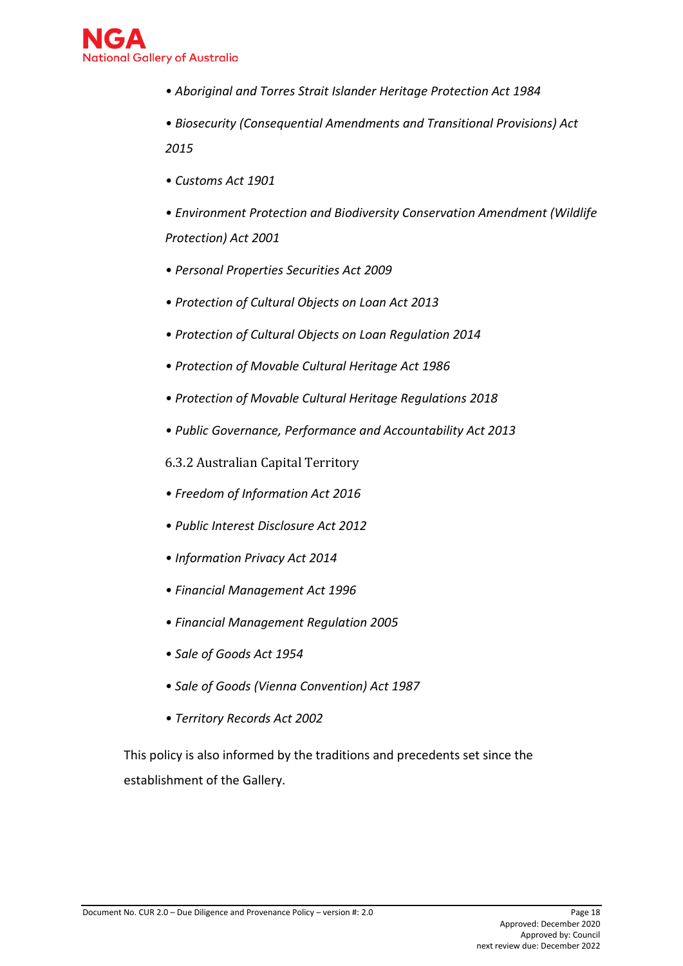

- *Aboriginal and Torres Strait Islander Heritage Protection Act 1984*
- *Biosecurity (Consequential Amendments and Transitional Provisions) Act 2015*
- *Customs Act 1901*
- *Environment Protection and Biodiversity Conservation Amendment (Wildlife Protection) Act 2001*
- *Personal Properties Securities Act 2009*
- *Protection of Cultural Objects on Loan Act 2013*
- *Protection of Cultural Objects on Loan Regulation 2014*
- *Protection of Movable Cultural Heritage Act 1986*
- *Protection of Movable Cultural Heritage Regulations 2018*
- *Public Governance, Performance and Accountability Act 2013*
- 6.3.2 Australian Capital Territory
- *Freedom of Information Act 2016*
- *[Public Interest Disclosure Act 2012](http://www.legislation.act.gov.au/a/2012-43/default.asp)*
- *Information Privacy Act 2014*
- *Financial Management Act 1996*
- *Financial Management Regulation 2005*
- *Sale of Goods Act 1954*
- *Sale of Goods (Vienna Convention) Act 1987*
- *[Territory Records Act 2002](http://www.legislation.act.gov.au/a/2002-18/default.asp)*

This policy is also informed by the traditions and precedents set since the establishment of the Gallery.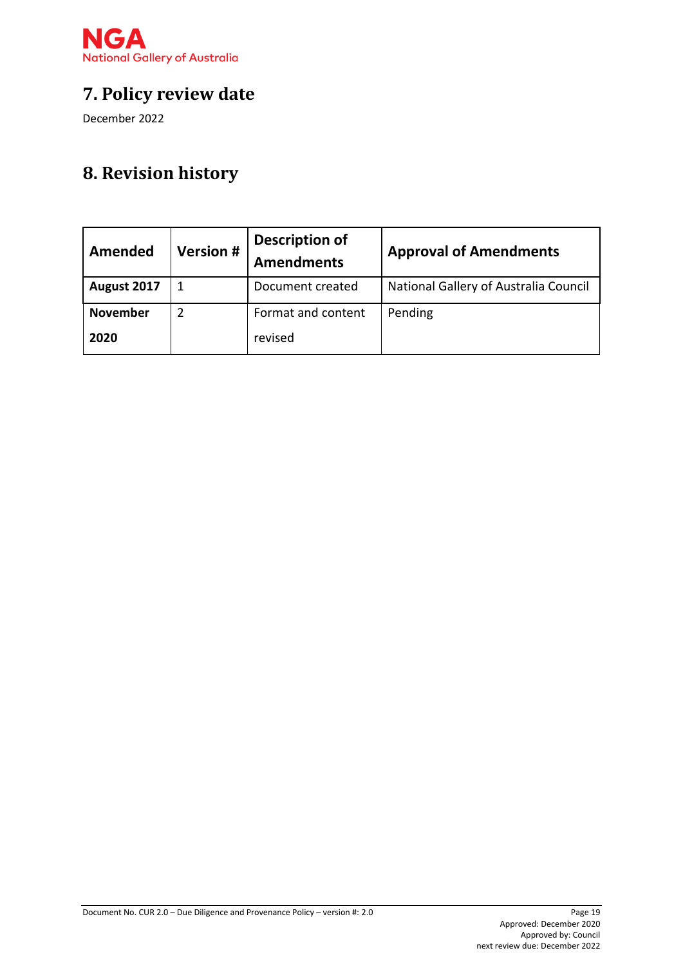

# <span id="page-18-0"></span>**7. Policy review date**

December 2022

# <span id="page-18-1"></span>**8. Revision history**

| <b>Amended</b>  | <b>Version #</b> | <b>Description of</b><br><b>Amendments</b> | <b>Approval of Amendments</b>         |
|-----------------|------------------|--------------------------------------------|---------------------------------------|
| August 2017     | 1                | Document created                           | National Gallery of Australia Council |
| <b>November</b> | 2                | Format and content                         | Pending                               |
| 2020            |                  | revised                                    |                                       |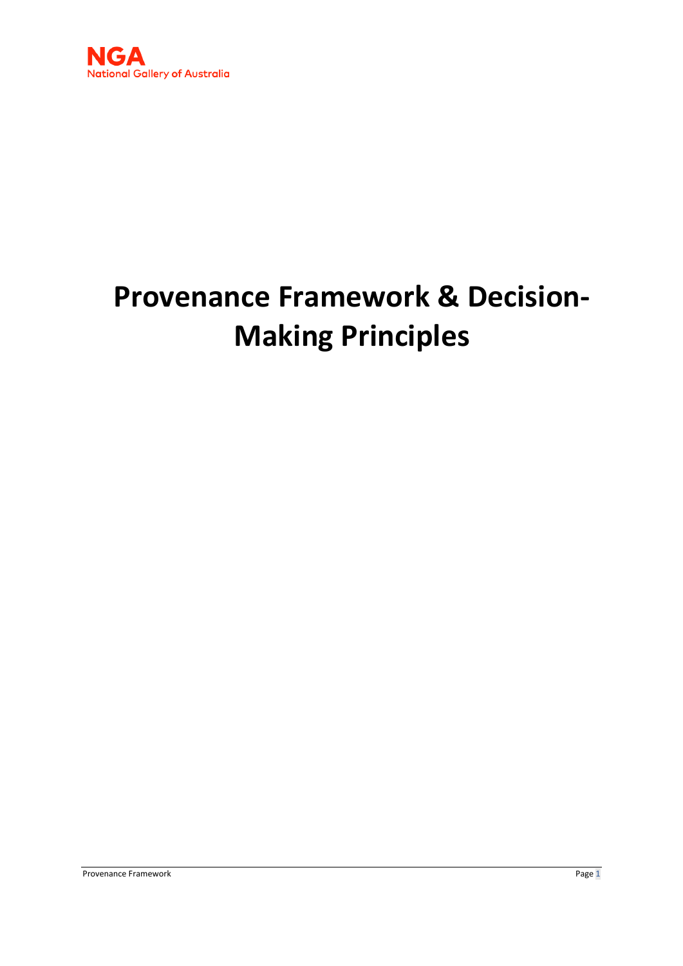

# **Provenance Framework & Decision-Making Principles**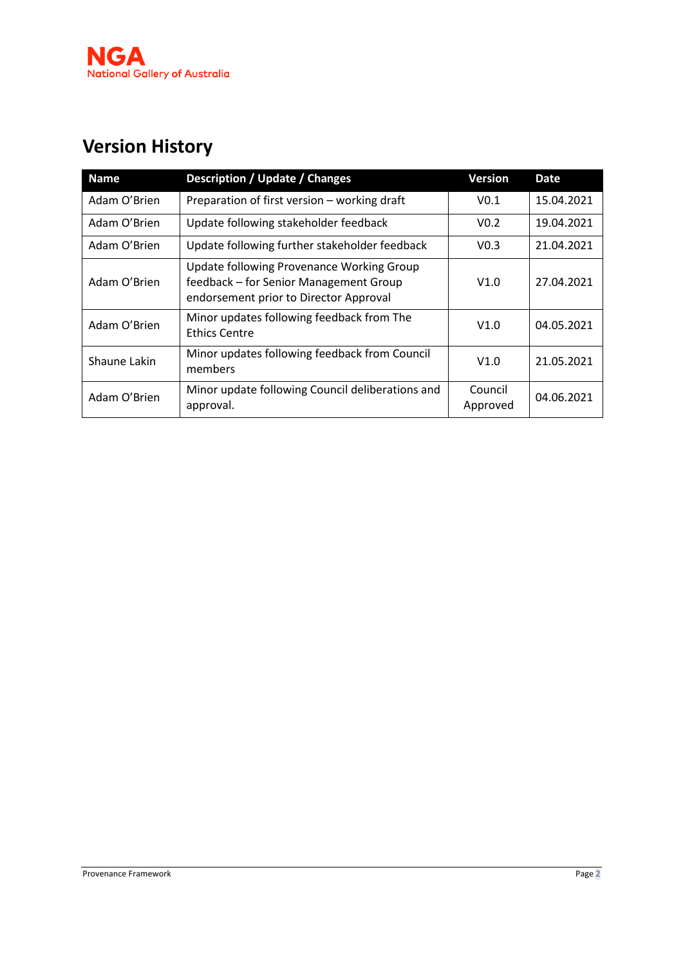

# **Version History**

| <b>Name</b>  | <b>Description / Update / Changes</b>                                                                                         | <b>Version</b>      | <b>Date</b> |
|--------------|-------------------------------------------------------------------------------------------------------------------------------|---------------------|-------------|
| Adam O'Brien | Preparation of first version - working draft                                                                                  | V <sub>0.1</sub>    | 15.04.2021  |
| Adam O'Brien | Update following stakeholder feedback                                                                                         | V <sub>0.2</sub>    | 19.04.2021  |
| Adam O'Brien | Update following further stakeholder feedback                                                                                 | V <sub>0.3</sub>    | 21.04.2021  |
| Adam O'Brien | Update following Provenance Working Group<br>feedback - for Senior Management Group<br>endorsement prior to Director Approval | V1.0                | 27.04.2021  |
| Adam O'Brien | Minor updates following feedback from The<br><b>Ethics Centre</b>                                                             | V1.0                | 04.05.2021  |
| Shaune Lakin | Minor updates following feedback from Council<br>members                                                                      | V1.0                | 21.05.2021  |
| Adam O'Brien | Minor update following Council deliberations and<br>approval.                                                                 | Council<br>Approved | 04.06.2021  |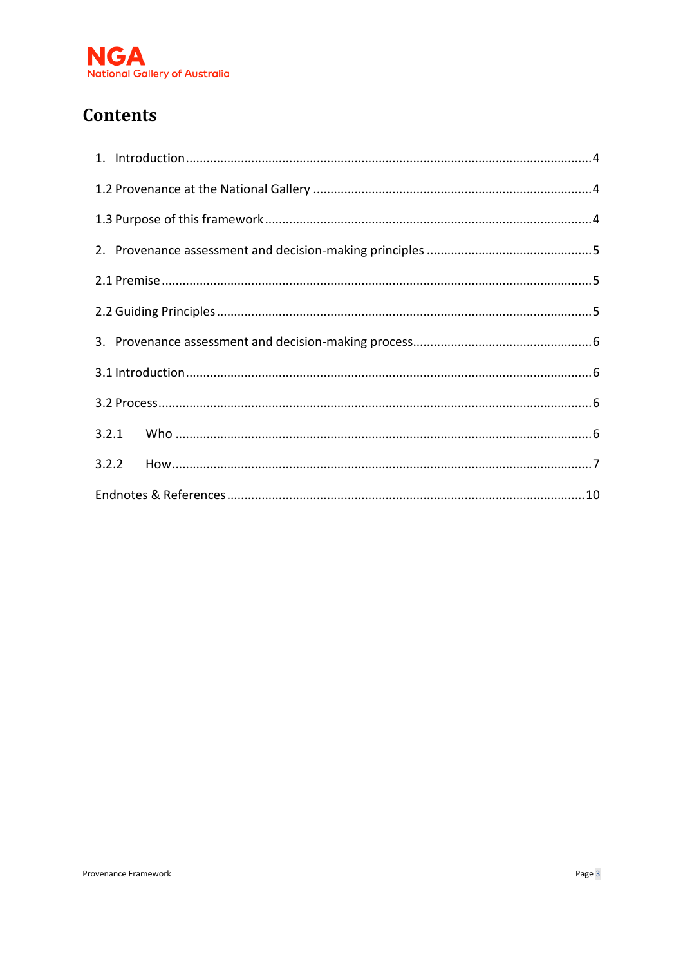

# **Contents**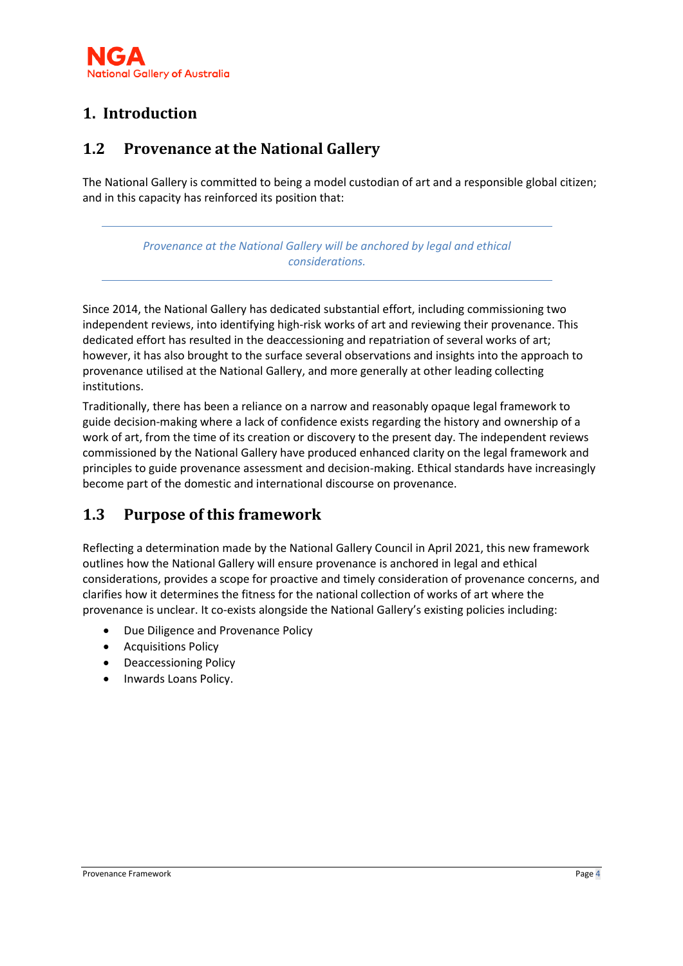# <span id="page-23-0"></span>**1. Introduction**

### <span id="page-23-1"></span>**1.2 Provenance at the National Gallery**

The National Gallery is committed to being a model custodian of art and a responsible global citizen; and in this capacity has reinforced its position that:

> *Provenance at the National Gallery will be anchored by legal and ethical considerations.*

Since 2014, the National Gallery has dedicated substantial effort, including commissioning two independent reviews, into identifying high-risk works of art and reviewing their provenance. This dedicated effort has resulted in the deaccessioning and repatriation of several works of art; however, it has also brought to the surface several observations and insights into the approach to provenance utilised at the National Gallery, and more generally at other leading collecting institutions.

Traditionally, there has been a reliance on a narrow and reasonably opaque legal framework to guide decision-making where a lack of confidence exists regarding the history and ownership of a work of art, from the time of its creation or discovery to the present day. The independent reviews commissioned by the National Gallery have produced enhanced clarity on the legal framework and principles to guide provenance assessment and decision-making. Ethical standards have increasingly become part of the domestic and international discourse on provenance.

# <span id="page-23-2"></span>**1.3 Purpose of this framework**

Reflecting a determination made by the National Gallery Council in April 2021, this new framework outlines how the National Gallery will ensure provenance is anchored in legal and ethical considerations, provides a scope for proactive and timely consideration of provenance concerns, and clarifies how it determines the fitness for the national collection of works of art where the provenance is unclear. It co-exists alongside the National Gallery's existing policies including:

- Due Diligence and Provenance Policy
- Acquisitions Policy
- Deaccessioning Policy
- Inwards Loans Policy.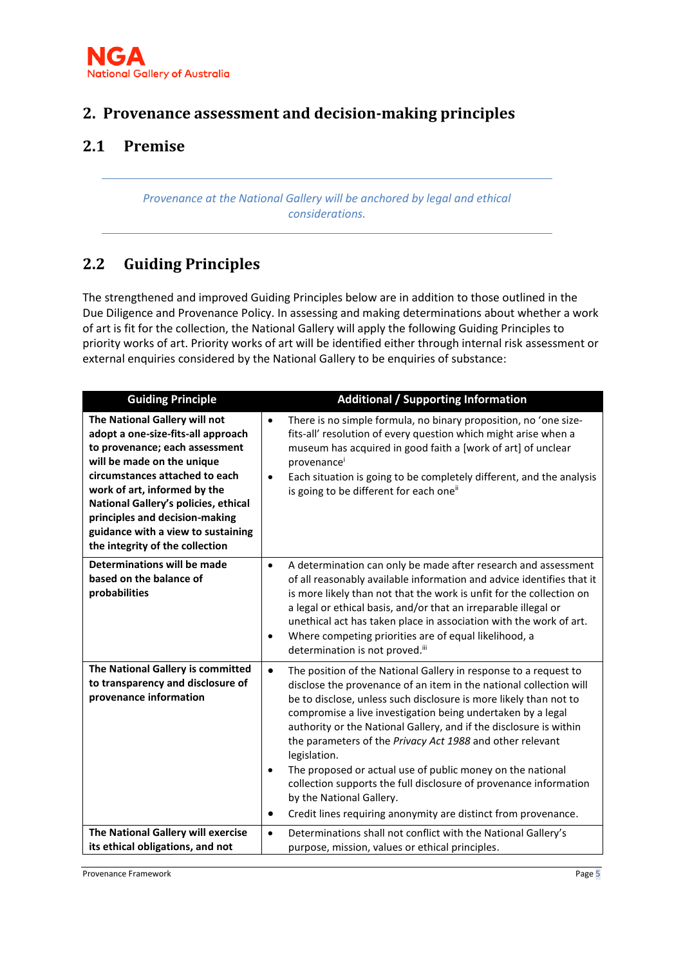

### <span id="page-24-0"></span>**2. Provenance assessment and decision-making principles**

### <span id="page-24-1"></span>**2.1 Premise**

*Provenance at the National Gallery will be anchored by legal and ethical considerations.*

### <span id="page-24-2"></span>**2.2 Guiding Principles**

The strengthened and improved Guiding Principles below are in addition to those outlined in the Due Diligence and Provenance Policy. In assessing and making determinations about whether a work of art is fit for the collection, the National Gallery will apply the following Guiding Principles to priority works of art. Priority works of art will be identified either through internal risk assessment or external enquiries considered by the National Gallery to be enquiries of substance:

| <b>Guiding Principle</b>                                                                                                                                                                                                                                                                                                                                 | <b>Additional / Supporting Information</b>                                                                                                                                                                                                                                                                                                                                                                                                                                                                                                                                                                                                                                                            |
|----------------------------------------------------------------------------------------------------------------------------------------------------------------------------------------------------------------------------------------------------------------------------------------------------------------------------------------------------------|-------------------------------------------------------------------------------------------------------------------------------------------------------------------------------------------------------------------------------------------------------------------------------------------------------------------------------------------------------------------------------------------------------------------------------------------------------------------------------------------------------------------------------------------------------------------------------------------------------------------------------------------------------------------------------------------------------|
| The National Gallery will not<br>adopt a one-size-fits-all approach<br>to provenance; each assessment<br>will be made on the unique<br>circumstances attached to each<br>work of art, informed by the<br>National Gallery's policies, ethical<br>principles and decision-making<br>guidance with a view to sustaining<br>the integrity of the collection | There is no simple formula, no binary proposition, no 'one size-<br>$\bullet$<br>fits-all' resolution of every question which might arise when a<br>museum has acquired in good faith a [work of art] of unclear<br>provenance<br>Each situation is going to be completely different, and the analysis<br>$\bullet$<br>is going to be different for each one"                                                                                                                                                                                                                                                                                                                                         |
| Determinations will be made<br>based on the balance of<br>probabilities                                                                                                                                                                                                                                                                                  | A determination can only be made after research and assessment<br>$\bullet$<br>of all reasonably available information and advice identifies that it<br>is more likely than not that the work is unfit for the collection on<br>a legal or ethical basis, and/or that an irreparable illegal or<br>unethical act has taken place in association with the work of art.<br>Where competing priorities are of equal likelihood, a<br>$\bullet$<br>determination is not proved.iii                                                                                                                                                                                                                        |
| The National Gallery is committed<br>to transparency and disclosure of<br>provenance information                                                                                                                                                                                                                                                         | The position of the National Gallery in response to a request to<br>$\bullet$<br>disclose the provenance of an item in the national collection will<br>be to disclose, unless such disclosure is more likely than not to<br>compromise a live investigation being undertaken by a legal<br>authority or the National Gallery, and if the disclosure is within<br>the parameters of the Privacy Act 1988 and other relevant<br>legislation.<br>The proposed or actual use of public money on the national<br>$\bullet$<br>collection supports the full disclosure of provenance information<br>by the National Gallery.<br>Credit lines requiring anonymity are distinct from provenance.<br>$\bullet$ |
| The National Gallery will exercise<br>its ethical obligations, and not                                                                                                                                                                                                                                                                                   | Determinations shall not conflict with the National Gallery's<br>$\bullet$<br>purpose, mission, values or ethical principles.                                                                                                                                                                                                                                                                                                                                                                                                                                                                                                                                                                         |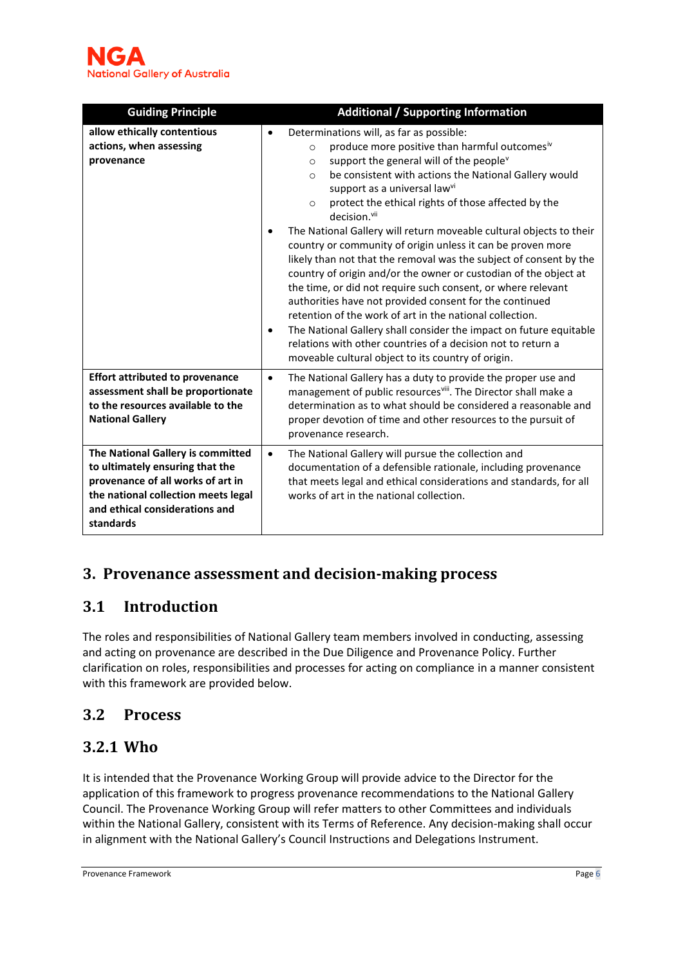| <b>Guiding Principle</b>                                                                                                                                                                        | <b>Additional / Supporting Information</b>                                                                                                                                                                                                                                                                                                                                                                                                                                                                                                                                                                                                                                                                                                                                                                                                                                                                                                                                                                                                                       |
|-------------------------------------------------------------------------------------------------------------------------------------------------------------------------------------------------|------------------------------------------------------------------------------------------------------------------------------------------------------------------------------------------------------------------------------------------------------------------------------------------------------------------------------------------------------------------------------------------------------------------------------------------------------------------------------------------------------------------------------------------------------------------------------------------------------------------------------------------------------------------------------------------------------------------------------------------------------------------------------------------------------------------------------------------------------------------------------------------------------------------------------------------------------------------------------------------------------------------------------------------------------------------|
| allow ethically contentious<br>actions, when assessing<br>provenance                                                                                                                            | Determinations will, as far as possible:<br>$\bullet$<br>produce more positive than harmful outcomesiv<br>$\circ$<br>support the general will of the people <sup>v</sup><br>O<br>be consistent with actions the National Gallery would<br>$\circ$<br>support as a universal lawvi<br>protect the ethical rights of those affected by the<br>$\Omega$<br>decision. <sup>vii</sup><br>The National Gallery will return moveable cultural objects to their<br>country or community of origin unless it can be proven more<br>likely than not that the removal was the subject of consent by the<br>country of origin and/or the owner or custodian of the object at<br>the time, or did not require such consent, or where relevant<br>authorities have not provided consent for the continued<br>retention of the work of art in the national collection.<br>The National Gallery shall consider the impact on future equitable<br>$\bullet$<br>relations with other countries of a decision not to return a<br>moveable cultural object to its country of origin. |
| <b>Effort attributed to provenance</b><br>assessment shall be proportionate<br>to the resources available to the<br><b>National Gallery</b>                                                     | The National Gallery has a duty to provide the proper use and<br>$\bullet$<br>management of public resources <sup>viii</sup> . The Director shall make a<br>determination as to what should be considered a reasonable and<br>proper devotion of time and other resources to the pursuit of<br>provenance research.                                                                                                                                                                                                                                                                                                                                                                                                                                                                                                                                                                                                                                                                                                                                              |
| The National Gallery is committed<br>to ultimately ensuring that the<br>provenance of all works of art in<br>the national collection meets legal<br>and ethical considerations and<br>standards | The National Gallery will pursue the collection and<br>$\bullet$<br>documentation of a defensible rationale, including provenance<br>that meets legal and ethical considerations and standards, for all<br>works of art in the national collection.                                                                                                                                                                                                                                                                                                                                                                                                                                                                                                                                                                                                                                                                                                                                                                                                              |

# <span id="page-25-0"></span>**3. Provenance assessment and decision-making process**

### <span id="page-25-1"></span>**3.1 Introduction**

The roles and responsibilities of National Gallery team members involved in conducting, assessing and acting on provenance are described in the Due Diligence and Provenance Policy. Further clarification on roles, responsibilities and processes for acting on compliance in a manner consistent with this framework are provided below.

### <span id="page-25-2"></span>**3.2 Process**

### <span id="page-25-3"></span>**3.2.1 Who**

It is intended that the Provenance Working Group will provide advice to the Director for the application of this framework to progress provenance recommendations to the National Gallery Council. The Provenance Working Group will refer matters to other Committees and individuals within the National Gallery, consistent with its Terms of Reference. Any decision-making shall occur in alignment with the National Gallery's Council Instructions and Delegations Instrument.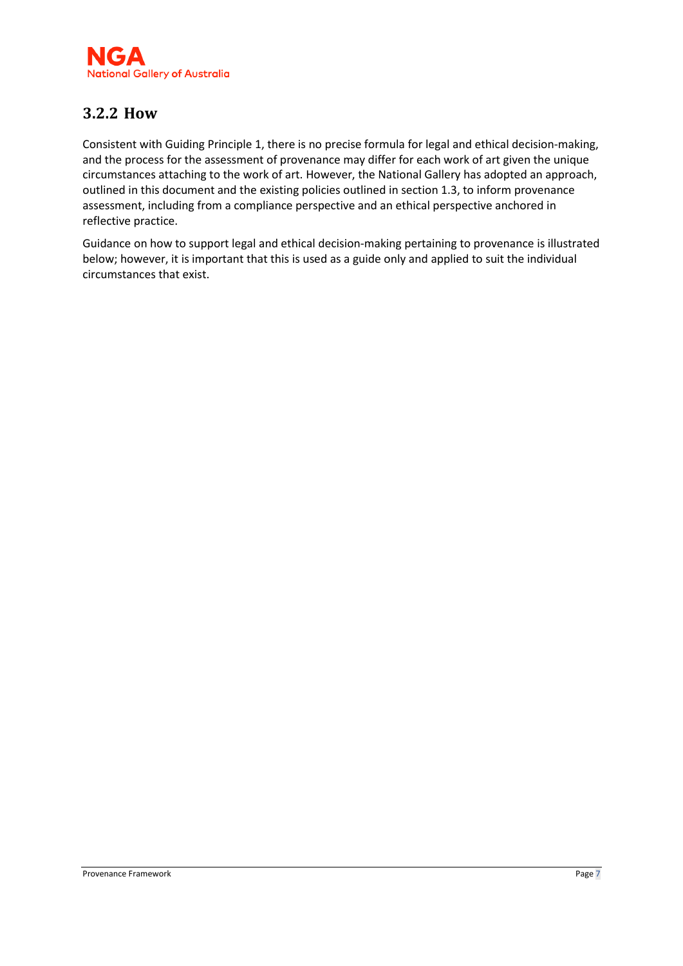

### <span id="page-26-0"></span>**3.2.2 How**

Consistent with Guiding Principle 1, there is no precise formula for legal and ethical decision-making, and the process for the assessment of provenance may differ for each work of art given the unique circumstances attaching to the work of art. However, the National Gallery has adopted an approach, outlined in this document and the existing policies outlined in section 1.3, to inform provenance assessment, including from a compliance perspective and an ethical perspective anchored in reflective practice.

Guidance on how to support legal and ethical decision-making pertaining to provenance is illustrated below; however, it is important that this is used as a guide only and applied to suit the individual circumstances that exist.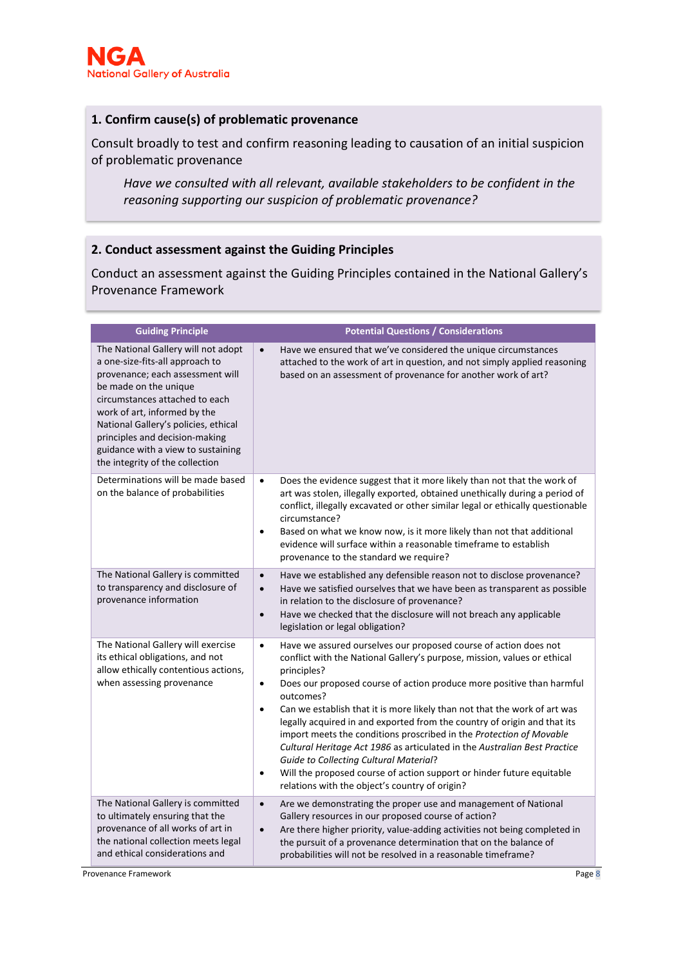#### **1. Confirm cause(s) of problematic provenance**

Consult broadly to test and confirm reasoning leading to causation of an initial suspicion of problematic provenance

*Have we consulted with all relevant, available stakeholders to be confident in the reasoning supporting our suspicion of problematic provenance?*

#### **2. Conduct assessment against the Guiding Principles**

Conduct an assessment against the Guiding Principles contained in the National Gallery's Provenance Framework

| <b>Guiding Principle</b>                                                                                                                                                                                                                                                                                                                                 | <b>Potential Questions / Considerations</b>                                                                                                                                                                                                                                                                                                                                                                                                                                                                                                                                                                                                                                                                                                                                                    |
|----------------------------------------------------------------------------------------------------------------------------------------------------------------------------------------------------------------------------------------------------------------------------------------------------------------------------------------------------------|------------------------------------------------------------------------------------------------------------------------------------------------------------------------------------------------------------------------------------------------------------------------------------------------------------------------------------------------------------------------------------------------------------------------------------------------------------------------------------------------------------------------------------------------------------------------------------------------------------------------------------------------------------------------------------------------------------------------------------------------------------------------------------------------|
| The National Gallery will not adopt<br>a one-size-fits-all approach to<br>provenance; each assessment will<br>be made on the unique<br>circumstances attached to each<br>work of art, informed by the<br>National Gallery's policies, ethical<br>principles and decision-making<br>guidance with a view to sustaining<br>the integrity of the collection | Have we ensured that we've considered the unique circumstances<br>$\bullet$<br>attached to the work of art in question, and not simply applied reasoning<br>based on an assessment of provenance for another work of art?                                                                                                                                                                                                                                                                                                                                                                                                                                                                                                                                                                      |
| Determinations will be made based<br>on the balance of probabilities                                                                                                                                                                                                                                                                                     | Does the evidence suggest that it more likely than not that the work of<br>$\bullet$<br>art was stolen, illegally exported, obtained unethically during a period of<br>conflict, illegally excavated or other similar legal or ethically questionable<br>circumstance?<br>Based on what we know now, is it more likely than not that additional<br>$\bullet$<br>evidence will surface within a reasonable timeframe to establish<br>provenance to the standard we require?                                                                                                                                                                                                                                                                                                                     |
| The National Gallery is committed<br>to transparency and disclosure of<br>provenance information                                                                                                                                                                                                                                                         | Have we established any defensible reason not to disclose provenance?<br>$\bullet$<br>Have we satisfied ourselves that we have been as transparent as possible<br>$\bullet$<br>in relation to the disclosure of provenance?<br>Have we checked that the disclosure will not breach any applicable<br>$\bullet$<br>legislation or legal obligation?                                                                                                                                                                                                                                                                                                                                                                                                                                             |
| The National Gallery will exercise<br>its ethical obligations, and not<br>allow ethically contentious actions,<br>when assessing provenance                                                                                                                                                                                                              | Have we assured ourselves our proposed course of action does not<br>$\bullet$<br>conflict with the National Gallery's purpose, mission, values or ethical<br>principles?<br>Does our proposed course of action produce more positive than harmful<br>$\bullet$<br>outcomes?<br>Can we establish that it is more likely than not that the work of art was<br>$\bullet$<br>legally acquired in and exported from the country of origin and that its<br>import meets the conditions proscribed in the Protection of Movable<br>Cultural Heritage Act 1986 as articulated in the Australian Best Practice<br><b>Guide to Collecting Cultural Material?</b><br>Will the proposed course of action support or hinder future equitable<br>$\bullet$<br>relations with the object's country of origin? |
| The National Gallery is committed<br>to ultimately ensuring that the<br>provenance of all works of art in<br>the national collection meets legal<br>and ethical considerations and                                                                                                                                                                       | Are we demonstrating the proper use and management of National<br>$\bullet$<br>Gallery resources in our proposed course of action?<br>Are there higher priority, value-adding activities not being completed in<br>$\bullet$<br>the pursuit of a provenance determination that on the balance of<br>probabilities will not be resolved in a reasonable timeframe?                                                                                                                                                                                                                                                                                                                                                                                                                              |

Provenance Framework **Page 8**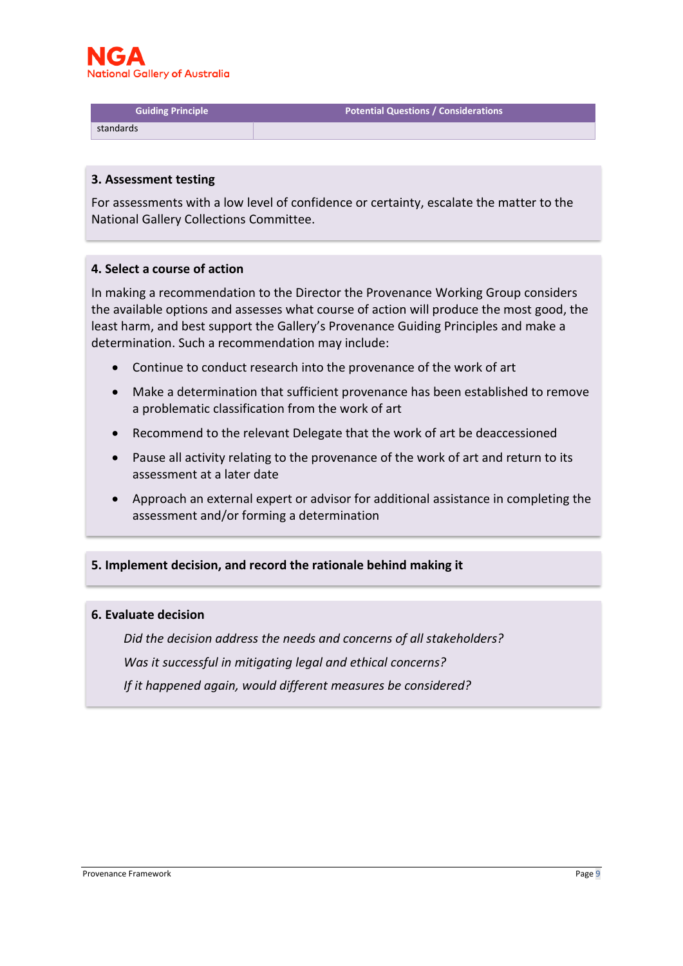

**Guiding Principle Potential Questions / Considerations**

standards

#### **3. Assessment testing**

For assessments with a low level of confidence or certainty, escalate the matter to the National Gallery Collections Committee.

#### **4. Select a course of action**

In making a recommendation to the Director the Provenance Working Group considers the available options and assesses what course of action will produce the most good, the least harm, and best support the Gallery's Provenance Guiding Principles and make a determination. Such a recommendation may include:

- Continue to conduct research into the provenance of the work of art
- Make a determination that sufficient provenance has been established to remove a problematic classification from the work of art
- Recommend to the relevant Delegate that the work of art be deaccessioned
- Pause all activity relating to the provenance of the work of art and return to its assessment at a later date
- Approach an external expert or advisor for additional assistance in completing the assessment and/or forming a determination

#### **5. Implement decision, and record the rationale behind making it**

#### **6. Evaluate decision**

*Did the decision address the needs and concerns of all stakeholders? Was it successful in mitigating legal and ethical concerns? If it happened again, would different measures be considered?*